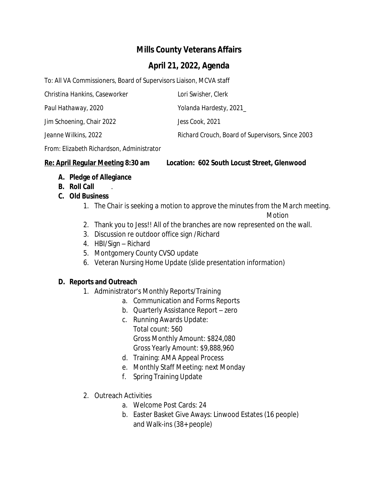# **Mills County Veterans Affairs**

## **April 21, 2022, Agenda**

To: All VA Commissioners, Board of Supervisors Liaison, MCVA staff

| Christina Hankins, Caseworker | Lori Swisher, Clerk                              |
|-------------------------------|--------------------------------------------------|
| Paul Hathaway, 2020           | Yolanda Hardesty, 2021_                          |
| Jim Schoening, Chair 2022     | Jess Cook, 2021                                  |
| Jeanne Wilkins, 2022          | Richard Crouch, Board of Supervisors, Since 2003 |

From: *Elizabeth Richardson*, Administrator

#### **Re: April Regular Meeting 8:30 am Location: 602 South Locust Street, Glenwood**

- **A. Pledge of Allegiance**
- **B. Roll Call** .
- **C. Old Business**
	- 1. *The Chair is seeking a motion to approve the minutes from the March meeting.*

*Motion*

- 2. Thank you to Jess!! All of the branches are now represented on the wall.
- 3. Discussion re outdoor office sign /Richard
- 4. HBI/Sign Richard
- 5. Montgomery County CVSO update
- 6. Veteran Nursing Home Update (slide presentation information)

### **D. Reports and Outreach**

- 1. Administrator's Monthly Reports/Training
	- a. Communication and Forms Reports
	- b. Quarterly Assistance Report zero
	- c. Running Awards Update: Total count: 560 Gross Monthly Amount: \$824,080 Gross Yearly Amount: \$9,888,960
	- d. Training: AMA Appeal Process
	- e. Monthly Staff Meeting: next Monday
	- f. Spring Training Update
- 2. Outreach Activities
	- a. Welcome Post Cards: 24
	- b. Easter Basket Give Aways: Linwood Estates (16 people) and Walk-ins (38+ people)